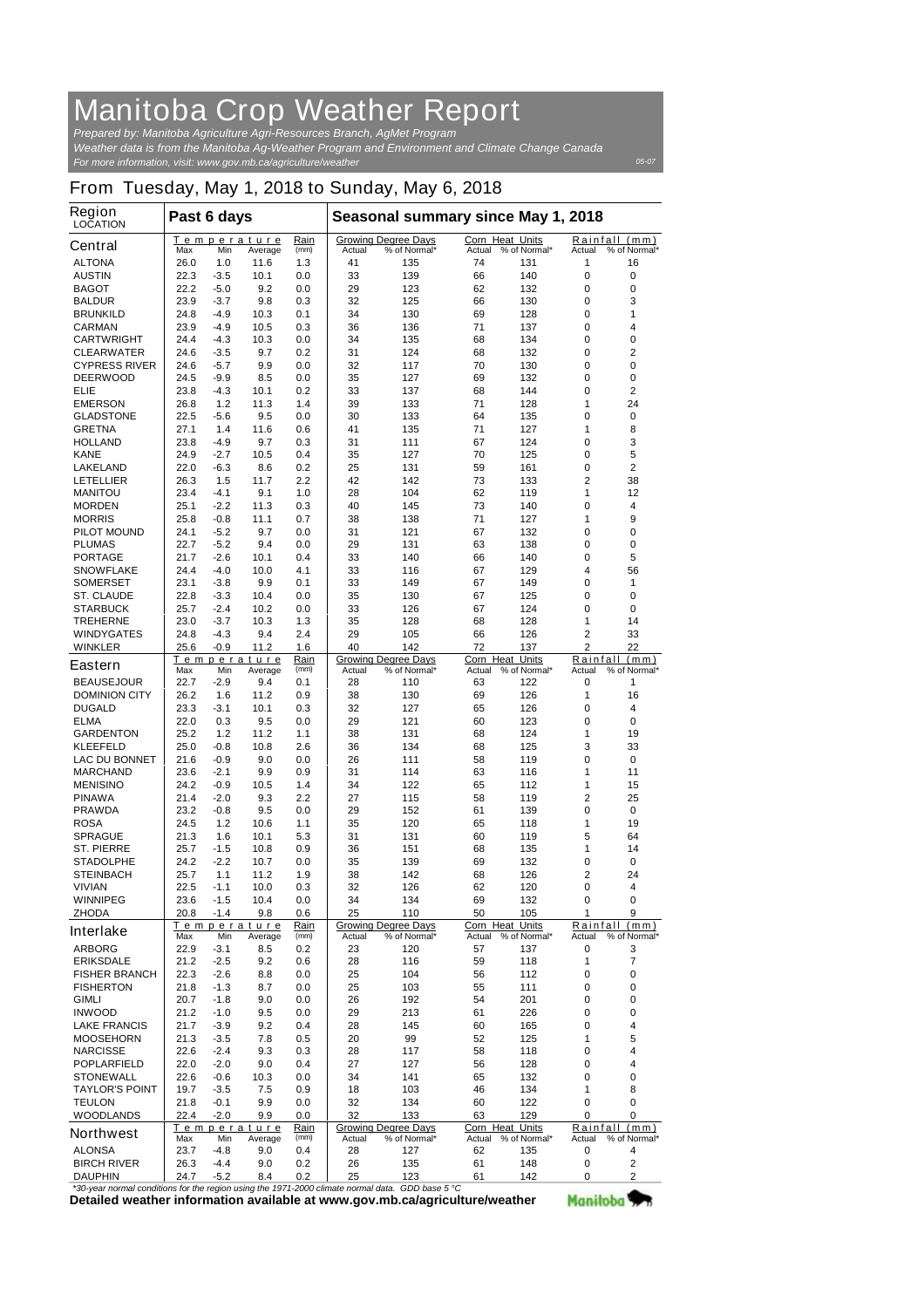## **Manitoba Crop Weather Report**

*For more information, visit: www.gov.mb.ca/agriculture/weather Prepared by: Manitoba Agriculture Agri-Resources Branch, AgMet Program Weather data is from the Manitoba Ag-Weather Program and Environment and Climate Change Canada*

## **From Tuesday, May 1, 2018 to Sunday, May 6, 2018**

| <b>Region</b><br><b>LOCATION</b>                                                            | Past 6 days |        |                               |              | Seasonal summary since May 1, 2018 |                                            |        |                                 |                                         |                               |
|---------------------------------------------------------------------------------------------|-------------|--------|-------------------------------|--------------|------------------------------------|--------------------------------------------|--------|---------------------------------|-----------------------------------------|-------------------------------|
| <b>Central</b>                                                                              | Max         | Min    | <b>Temperature</b><br>Average | Rain<br>(mm) | Actual                             | <b>Growing Degree Days</b><br>% of Normal* | Actual | Corn Heat Units<br>% of Normal* | Actual                                  | Rainfall (mm)<br>% of Normal* |
| <b>ALTONA</b>                                                                               | 26.0        | 1.0    | 11.6                          | 1.3          | 41                                 | 135                                        | 74     | 131                             | 1                                       | 16                            |
| <b>AUSTIN</b>                                                                               | 22.3        | $-3.5$ | 10.1                          | 0.0          | 33                                 | 139                                        | 66     | 140                             | 0                                       | 0                             |
| <b>BAGOT</b>                                                                                | 22.2        | $-5.0$ | 9.2                           | 0.0          | 29                                 | 123                                        | 62     | 132                             | 0                                       | 0                             |
| <b>BALDUR</b>                                                                               | 23.9        | $-3.7$ | 9.8                           | 0.3          | 32                                 | 125                                        | 66     | 130                             | 0                                       | 3                             |
| <b>BRUNKILD</b>                                                                             | 24.8        | $-4.9$ | 10.3                          | 0.1          | 34                                 | 130                                        | 69     | 128                             | 0                                       | 1                             |
| <b>CARMAN</b>                                                                               | 23.9        | $-4.9$ | 10.5                          | 0.3          | 36                                 | 136                                        | 71     | 137                             | 0                                       | 4                             |
| <b>CARTWRIGHT</b>                                                                           | 24.4        | $-4.3$ | 10.3                          | 0.0          | 34                                 | 135                                        | 68     | 134                             | 0                                       | 0                             |
| <b>CLEARWATER</b>                                                                           | 24.6        | $-3.5$ | 9.7                           | 0.2          | 31                                 | 124                                        | 68     | 132                             | 0                                       | 2                             |
| <b>CYPRESS RIVER</b>                                                                        | 24.6        | $-5.7$ | 9.9                           | 0.0          | 32                                 | 117                                        | 70     | 130                             | 0                                       | 0                             |
| <b>DEERWOOD</b>                                                                             | 24.5        | $-9.9$ | 8.5                           | 0.0          | 35                                 | 127                                        | 69     | 132                             | 0                                       | 0                             |
| ELIE                                                                                        | 23.8        | $-4.3$ | 10.1                          | 0.2          | 33                                 | 137                                        | 68     | 144                             | 0                                       | 2                             |
| <b>EMERSON</b>                                                                              | 26.8        | 1.2    | 11.3                          | 1.4          | 39                                 | 133                                        | 71     | 128                             | 1                                       | 24                            |
| <b>GLADSTONE</b>                                                                            | 22.5        | $-5.6$ | 9.5                           | 0.0          | 30                                 | 133                                        | 64     | 135                             | 0                                       | 0                             |
| <b>GRETNA</b>                                                                               | 27.1        | 1.4    | 11.6                          | 0.6          | 41                                 | 135                                        | 71     | 127                             | 1                                       | 8                             |
| <b>HOLLAND</b>                                                                              | 23.8        | $-4.9$ | 9.7                           | 0.3          | 31                                 | 111                                        | 67     | 124                             | 0                                       | 3                             |
| <b>KANE</b>                                                                                 | 24.9        | $-2.7$ | 10.5                          | 0.4          | 35                                 | 127                                        | 70     | 125                             | 0                                       | 5                             |
| <b>LAKELAND</b>                                                                             | 22.0        | $-6.3$ | 8.6                           | 0.2          | 25                                 | 131                                        | 59     | 161                             | 0                                       | 2                             |
| <b>LETELLIER</b>                                                                            | 26.3        | 1.5    | 11.7                          | 2.2          | 42                                 | 142                                        | 73     | 133                             | $\overline{2}$                          | 38                            |
| <b>MANITOU</b>                                                                              | 23.4        | $-4.1$ | 9.1                           | 1.0          | 28                                 | 104                                        | 62     | 119                             | 1                                       | 12                            |
| <b>MORDEN</b>                                                                               | 25.1        | $-2.2$ | 11.3                          | 0.3          | 40                                 | 145                                        | 73     | 140                             | 0                                       | 4                             |
| <b>MORRIS</b>                                                                               | 25.8        | $-0.8$ | 11.1                          | 0.7          | 38                                 | 138                                        | 71     | 127                             | 1                                       | 9                             |
| <b>PILOT MOUND</b>                                                                          | 24.1        | $-5.2$ | 9.7                           | 0.0          | 31                                 | 121                                        | 67     | 132                             | 0                                       | 0                             |
| <b>PLUMAS</b>                                                                               | 22.7        | $-5.2$ | 9.4                           | 0.0          | 29                                 | 131                                        | 63     | 138                             | 0                                       | 0                             |
| <b>PORTAGE</b>                                                                              | 21.7        | $-2.6$ | 10.1                          | 0.4          | 33                                 | 140                                        | 66     | 140                             | 0                                       | 5                             |
| <b>SNOWFLAKE</b>                                                                            | 24.4        | $-4.0$ | 10.0                          | 4.1          | 33                                 | 116                                        | 67     | 129                             | 4                                       | 56                            |
| <b>SOMERSET</b>                                                                             | 23.1        | $-3.8$ | 9.9                           | 0.1          | 33                                 | 149                                        | 67     | 149                             | 0                                       | 1                             |
| <b>ST. CLAUDE</b>                                                                           | 22.8        | $-3.3$ | 10.4                          | 0.0          | 35                                 | 130                                        | 67     | 125                             | 0                                       | 0                             |
| <b>STARBUCK</b>                                                                             | 25.7        | $-2.4$ | 10.2                          | 0.0          | 33                                 | 126                                        | 67     | 124                             | 0                                       | 0                             |
| <b>TREHERNE</b>                                                                             | 23.0        | $-3.7$ | 10.3                          | 1.3          | 35                                 | 128                                        | 68     | 128                             | 1                                       | 14                            |
| <b>WINDYGATES</b>                                                                           | 24.8        | $-4.3$ | 9.4                           | 2.4          | 29                                 | 105                                        | 66     | 126                             | 2                                       | 33                            |
| <b>WINKLER</b>                                                                              | 25.6        | $-0.9$ | 11.2                          | 1.6          | 40                                 | 142                                        | 72     | 137                             | $\mathbf{2}$                            | 22                            |
| <b>Eastern</b>                                                                              |             |        | Temperature                   | Rain         |                                    | <b>Growing Degree Days</b>                 |        | <b>Corn Heat Units</b>          |                                         | Rainfall (mm)                 |
|                                                                                             | Max         | Min    | Average                       | (mm)         | Actual                             | % of Normal*                               | Actual | % of Normal*                    | Actual                                  | % of Normal*                  |
| <b>BEAUSEJOUR</b>                                                                           | 22.7        | $-2.9$ | 9.4                           | 0.1          | 28                                 | 110                                        | 63     | 122                             | 0                                       | 1                             |
| <b>DOMINION CITY</b>                                                                        | 26.2        | 1.6    | 11.2                          | 0.9          | 38                                 | 130                                        | 69     | 126                             | 1                                       | 16                            |
| <b>DUGALD</b>                                                                               | 23.3        | -3.1   | 10.1                          | 0.3          | 32                                 | 127                                        | 65     | 126                             | 0                                       | 4                             |
| <b>ELMA</b>                                                                                 | 22.0        | 0.3    | 9.5                           | 0.0          | 29                                 | 121                                        | 60     | 123                             | 0                                       | 0                             |
| <b>GARDENTON</b>                                                                            | 25.2        | 1.2    | 11.2                          | 1.1          | 38                                 | 131                                        | 68     | 124                             | 1                                       | 19                            |
| <b>KLEEFELD</b>                                                                             | 25.0        | $-0.8$ | 10.8                          | 2.6          | 36                                 | 134                                        | 68     | 125                             | 3                                       | 33                            |
| <b>LAC DU BONNET</b>                                                                        | 21.6        | $-0.9$ | 9.0                           | 0.0          | 26                                 | 111                                        | 58     | 119                             | 0                                       | 0                             |
| <b>MARCHAND</b>                                                                             | 23.6        | $-2.1$ | 9.9                           | 0.9          | 31                                 | 114                                        | 63     | 116                             | 1                                       | 11                            |
| <b>MENISINO</b>                                                                             | 24.2        | $-0.9$ | 10.5                          | 1.4          | 34                                 | 122                                        | 65     | 112                             | 1                                       | 15                            |
| <b>PINAWA</b>                                                                               | 21.4        | $-2.0$ | 9.3                           | $2.2\,$      | 27                                 | 115                                        | 58     | 119                             | 2                                       | 25                            |
| <b>PRAWDA</b>                                                                               | 23.2        | $-0.8$ | 9.5                           | 0.0          | 29                                 | 152                                        | 61     | 139                             | $\bf{0}$                                | $\mathbf 0$                   |
| <b>ROSA</b>                                                                                 | 24.5        | 1.2    | 10.6                          | 1.1          | 35                                 | 120                                        | 65     | 118                             | 1                                       | 19                            |
| <b>SPRAGUE</b>                                                                              | 21.3        | 1.6    | 10.1                          | 5.3          | 31                                 | 131                                        | 60     | 119                             | 5                                       | 64                            |
| <b>ST. PIERRE</b>                                                                           | 25.7        | $-1.5$ | 10.8                          | 0.9          | 36                                 | 151                                        | 68     | 135                             | 1                                       | 14                            |
| <b>STADOLPHE</b>                                                                            | 24.2        | $-2.2$ | 10.7                          | 0.0          | 35                                 | 139                                        | 69     | 132                             | 0                                       | 0                             |
| <b>STEINBACH</b>                                                                            | 25.7        | 1.1    | 11.2                          | 1.9          | 38                                 | 142                                        | 68     | 126                             | 2                                       | 24                            |
| <b>VIVIAN</b>                                                                               | 22.5        | $-1.1$ | 10.0                          | 0.3          | 32                                 | 126                                        | 62     | 120                             | 0                                       | 4                             |
| <b>WINNIPEG</b>                                                                             | 23.6        | $-1.5$ | 10.4                          | 0.0          | 34                                 | 134                                        | 69     | 132                             | 0                                       | 0                             |
| <b>ZHODA</b>                                                                                | 20.8        | $-1.4$ | 9.8                           | 0.6          | 25                                 | 110                                        | 50     | 105                             | 1                                       | 9                             |
| <b>Interlake</b>                                                                            | Max         | Min    | Temperature<br>Average        | Rain<br>(mm) | Actual                             | <b>Growing Degree Days</b><br>% of Normal* | Actual | Corn Heat Units<br>% of Normal* | Rainfall (mm)<br>Actual<br>% of Normal* |                               |
| <b>ARBORG</b>                                                                               | 22.9        | $-3.1$ | 8.5                           | 0.2          | 23                                 | 120                                        | 57     | 137                             | 0                                       | 3                             |
| <b>ERIKSDALE</b>                                                                            | 21.2        | $-2.5$ | 9.2                           | 0.6          | 28                                 | 116                                        | 59     | 118                             | 1                                       | 7                             |
| <b>FISHER BRANCH</b>                                                                        | 22.3        | $-2.6$ | 8.8                           | 0.0          | 25                                 | 104                                        | 56     | 112                             | 0                                       | 0                             |
| <b>FISHERTON</b>                                                                            | 21.8        | $-1.3$ | 8.7                           | 0.0          | 25                                 | 103                                        | 55     | 111                             | 0                                       | 0                             |
| <b>GIMLI</b>                                                                                |             |        |                               |              |                                    |                                            |        |                                 | 0                                       |                               |
|                                                                                             | 20.7        | $-1.8$ | 9.0                           | 0.0          | 26                                 | 192                                        | 54     | 201                             | 0                                       | 0                             |
| <b>INWOOD</b>                                                                               | 21.2        | $-1.0$ | 9.5                           | 0.0          | 29                                 | 213                                        | 61     | 226                             |                                         | 0                             |
| <b>LAKE FRANCIS</b>                                                                         | 21.7        | $-3.9$ | 9.2                           | 0.4          | 28                                 | 145                                        | 60     | 165                             | 0                                       | 4                             |
| <b>MOOSEHORN</b>                                                                            | 21.3        | $-3.5$ | 7.8                           | 0.5          | 20                                 | 99                                         | 52     | 125                             | 1                                       | 5                             |
| <b>NARCISSE</b>                                                                             | 22.6        | $-2.4$ | 9.3                           | 0.3          | 28                                 | 117                                        | 58     | 118                             | 0                                       | 4                             |
| <b>POPLARFIELD</b>                                                                          | 22.0        | $-2.0$ | 9.0                           | 0.4          | 27                                 | 127                                        | 56     | 128                             | 0                                       | 4                             |
| <b>STONEWALL</b>                                                                            | 22.6        | $-0.6$ | 10.3                          | 0.0          | 34                                 | 141                                        | 65     | 132                             | 0                                       | 0                             |
| <b>TAYLOR'S POINT</b>                                                                       | 19.7        | $-3.5$ | 7.5                           | 0.9          | 18                                 | 103                                        | 46     | 134                             | 1                                       | 8                             |
| <b>TEULON</b>                                                                               | 21.8        | $-0.1$ | 9.9                           | 0.0          | 32                                 | 134                                        | 60     | 122                             | 0                                       | 0                             |
| <b>WOODLANDS</b>                                                                            | 22.4        | $-2.0$ | 9.9                           | 0.0          | 32                                 | 133                                        | 63     | 129                             | 0                                       | 0                             |
| <b>Northwest</b>                                                                            | Max         | Min    | Temperature<br>Average        | Rain<br>(mm) | Actual                             | <b>Growing Degree Days</b><br>% of Normal* | Actual | Corn Heat Units<br>% of Normal* | Actual                                  | Rainfall (mm)<br>% of Normal* |
| <b>ALONSA</b>                                                                               | 23.7        | -4.8   | 9.0                           | 0.4          | 28                                 | 127                                        | 62     | 135                             | 0                                       | 4                             |
| <b>BIRCH RIVER</b>                                                                          | 26.3        | $-4.4$ | 9.0                           | 0.2          | 26                                 | 135                                        | 61     | 148                             | 0                                       | $\mathbf{2}$                  |
| <b>DAUPHIN</b>                                                                              | 24.7        | $-5.2$ | 8.4                           | 0.2          | 25                                 | 123                                        | 61     | 142                             | 0                                       | $\mathbf{2}$                  |
| the second conditions for the region using the 1971-2000 climate normal data. CDD base 5 °C |             |        |                               |              |                                    |                                            |        |                                 |                                         |                               |

**Detailed weather information available at www.gov.mb.ca/agriculture/weather** *\*30-year normal conditions for the region using the 1971-2000 climate normal data. GDD base 5 °C* Manitoba<sup>y</sup>